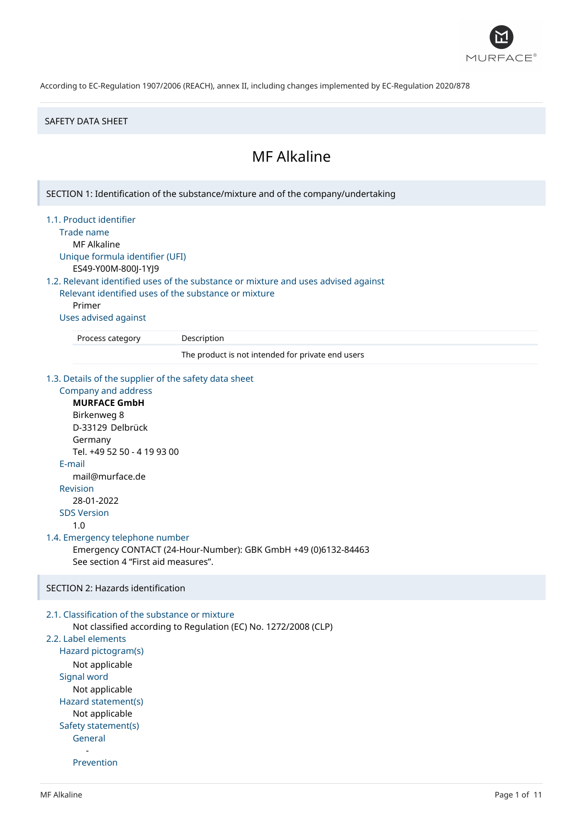

### SAFETY DATA SHEET

# MF Alkaline

SECTION 1: Identification of the substance/mixture and of the company/undertaking 1.1. Product identifier Trade name MF Alkaline Unique formula identifier (UFI) ES49-Y00M-800J-1YJ9 1.2. Relevant identified uses of the substance or mixture and uses advised against Relevant identified uses of the substance or mixture Primer Uses advised against Process category Description The product is not intended for private end users 1.3. Details of the supplier of the safety data sheet Company and address **MURFACE GmbH** Birkenweg 8 D-33129 Delbrück Germany Tel. +49 52 50 - 4 19 93 00 E-mail mail@murface.de Revision 28-01-2022 SDS Version 1.0 1.4. Emergency telephone number Emergency CONTACT (24-Hour-Number): GBK GmbH +49 (0)6132-84463 See section 4 "First aid measures". SECTION 2: Hazards identification 2.1. Classification of the substance or mixture Not classified according to Regulation (EC) No. 1272/2008 (CLP) 2.2. Label elements Hazard pictogram(s) Not applicable Signal word Not applicable Hazard statement(s) Not applicable Safety statement(s) General - Prevention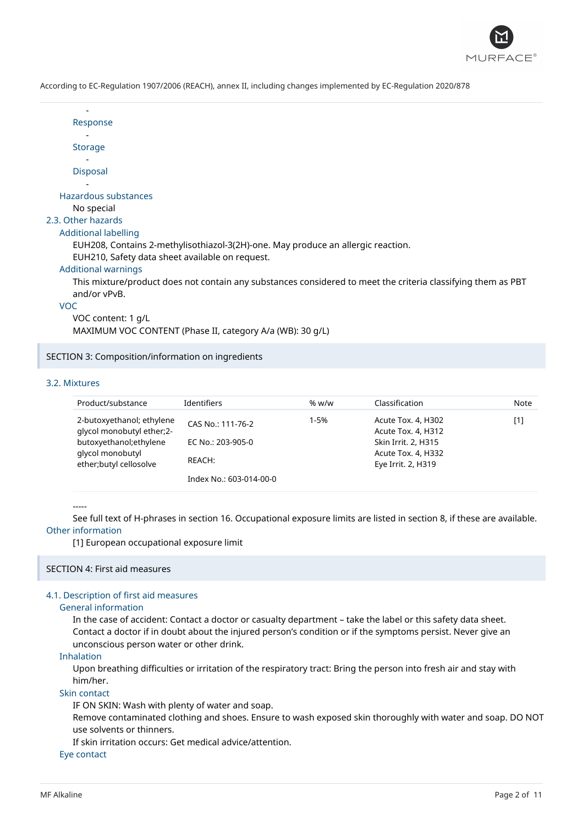

| Response                                                                                                                     |
|------------------------------------------------------------------------------------------------------------------------------|
|                                                                                                                              |
| <b>Storage</b>                                                                                                               |
|                                                                                                                              |
| <b>Disposal</b>                                                                                                              |
|                                                                                                                              |
| Hazardous substances                                                                                                         |
| No special                                                                                                                   |
| 2.3. Other hazards                                                                                                           |
| Additional labelling                                                                                                         |
| EUH208, Contains 2-methylisothiazol-3(2H)-one. May produce an allergic reaction.                                             |
| EUH210, Safety data sheet available on request.                                                                              |
| <b>Additional warnings</b>                                                                                                   |
| This mixture/product does not contain any substances considered to meet the criteria classifying them as PBT<br>and/or vPvB. |

VOC

VOC content: 1 g/L

MAXIMUM VOC CONTENT (Phase II, category A/a (WB): 30 g/L)

SECTION 3: Composition/information on ingredients

# 3.2. Mixtures

| Product/substance                                                                                                               | Identifiers                                      | % $w/w$ | Classification                                                                                              | Note |
|---------------------------------------------------------------------------------------------------------------------------------|--------------------------------------------------|---------|-------------------------------------------------------------------------------------------------------------|------|
| 2-butoxyethanol; ethylene<br>qlycol monobutyl ether;2-<br>butoxyethanol; ethylene<br>glycol monobutyl<br>ether;butyl cellosolve | CAS No.: 111-76-2<br>EC No.: 203-905-0<br>REACH: | 1-5%    | Acute Tox. 4, H302<br>Acute Tox. 4, H312<br>Skin Irrit. 2, H315<br>Acute Tox. 4, H332<br>Eye Irrit. 2, H319 | [1]  |
|                                                                                                                                 | Index No.: 603-014-00-0                          |         |                                                                                                             |      |

-----

See full text of H-phrases in section 16. Occupational exposure limits are listed in section 8, if these are available. Other information

[1] European occupational exposure limit

## SECTION 4: First aid measures

# 4.1. Description of first aid measures

## General information

In the case of accident: Contact a doctor or casualty department – take the label or this safety data sheet. Contact a doctor if in doubt about the injured person's condition or if the symptoms persist. Never give an unconscious person water or other drink.

#### Inhalation

Upon breathing difficulties or irritation of the respiratory tract: Bring the person into fresh air and stay with him/her.

# Skin contact

IF ON SKIN: Wash with plenty of water and soap.

Remove contaminated clothing and shoes. Ensure to wash exposed skin thoroughly with water and soap. DO NOT use solvents or thinners.

If skin irritation occurs: Get medical advice/attention.

## Eye contact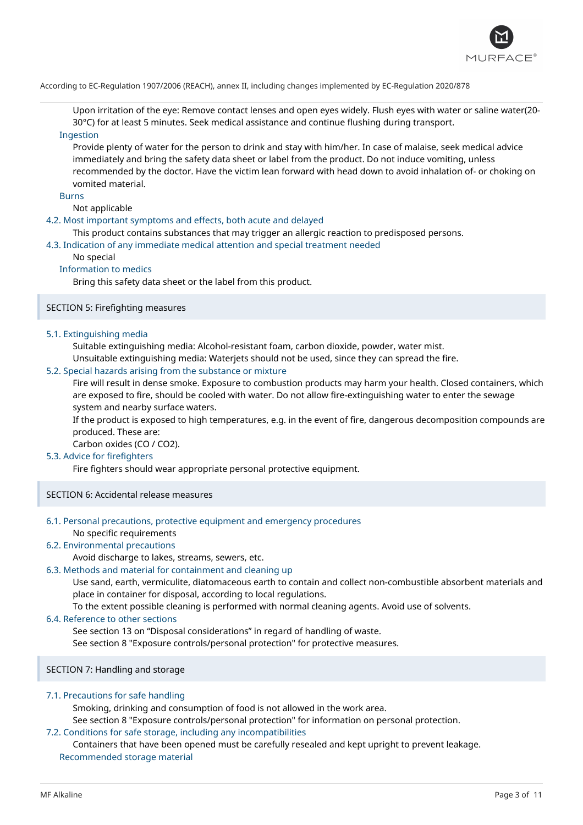

Upon irritation of the eye: Remove contact lenses and open eyes widely. Flush eyes with water or saline water(20- 30°C) for at least 5 minutes. Seek medical assistance and continue flushing during transport.

# Ingestion

Provide plenty of water for the person to drink and stay with him/her. In case of malaise, seek medical advice immediately and bring the safety data sheet or label from the product. Do not induce vomiting, unless recommended by the doctor. Have the victim lean forward with head down to avoid inhalation of- or choking on vomited material.

#### Burns

Not applicable

## 4.2. Most important symptoms and effects, both acute and delayed

This product contains substances that may trigger an allergic reaction to predisposed persons.

## 4.3. Indication of any immediate medical attention and special treatment needed

## No special

## Information to medics

Bring this safety data sheet or the label from this product.

# SECTION 5: Firefighting measures

## 5.1. Extinguishing media

Suitable extinguishing media: Alcohol-resistant foam, carbon dioxide, powder, water mist.

Unsuitable extinguishing media: Waterjets should not be used, since they can spread the fire.

## 5.2. Special hazards arising from the substance or mixture

Fire will result in dense smoke. Exposure to combustion products may harm your health. Closed containers, which are exposed to fire, should be cooled with water. Do not allow fire-extinguishing water to enter the sewage system and nearby surface waters.

If the product is exposed to high temperatures, e.g. in the event of fire, dangerous decomposition compounds are produced. These are:

Carbon oxides (CO / CO2).

# 5.3. Advice for firefighters

Fire fighters should wear appropriate personal protective equipment.

SECTION 6: Accidental release measures

#### 6.1. Personal precautions, protective equipment and emergency procedures No specific requirements

# 6.2. Environmental precautions

Avoid discharge to lakes, streams, sewers, etc.

# 6.3. Methods and material for containment and cleaning up

Use sand, earth, vermiculite, diatomaceous earth to contain and collect non-combustible absorbent materials and place in container for disposal, according to local regulations.

To the extent possible cleaning is performed with normal cleaning agents. Avoid use of solvents.

## 6.4. Reference to other sections

See section 13 on "Disposal considerations" in regard of handling of waste.

See section 8 "Exposure controls/personal protection" for protective measures.

# SECTION 7: Handling and storage

# 7.1. Precautions for safe handling

Smoking, drinking and consumption of food is not allowed in the work area.

See section 8 "Exposure controls/personal protection" for information on personal protection.

# 7.2. Conditions for safe storage, including any incompatibilities

Containers that have been opened must be carefully resealed and kept upright to prevent leakage. Recommended storage material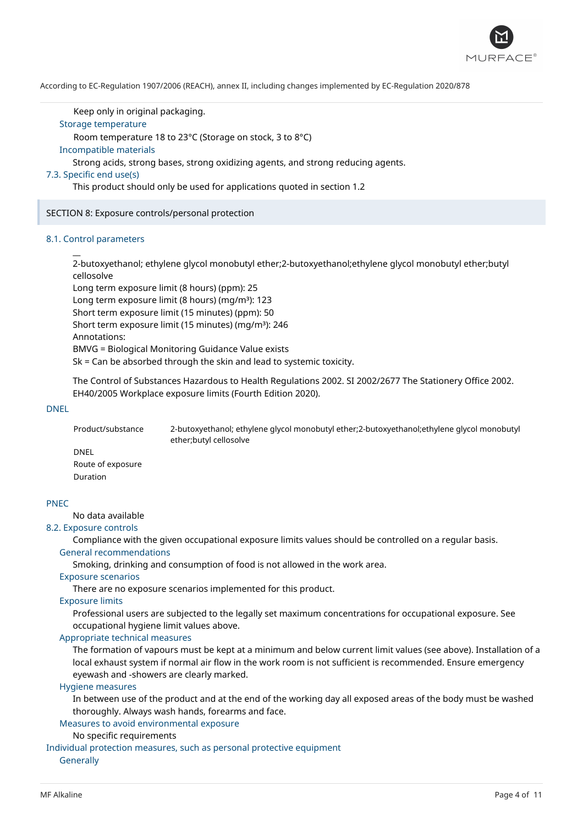

Keep only in original packaging.

# Storage temperature

Room temperature 18 to 23°C (Storage on stock, 3 to 8°C)

#### Incompatible materials

Strong acids, strong bases, strong oxidizing agents, and strong reducing agents.

## 7.3. Specific end use(s)

This product should only be used for applications quoted in section 1.2

SECTION 8: Exposure controls/personal protection

## 8.1. Control parameters

 $\overline{a}$ 

2-butoxyethanol; ethylene glycol monobutyl ether;2-butoxyethanol;ethylene glycol monobutyl ether;butyl cellosolve

Long term exposure limit (8 hours) (ppm): 25 Long term exposure limit (8 hours) (mg/m<sup>3</sup>): 123 Short term exposure limit (15 minutes) (ppm): 50 Short term exposure limit (15 minutes) (mg/m<sup>3</sup>): 246 Annotations: BMVG = Biological Monitoring Guidance Value exists Sk = Can be absorbed through the skin and lead to systemic toxicity.

The Control of Substances Hazardous to Health Regulations 2002. SI 2002/2677 The Stationery Office 2002. EH40/2005 Workplace exposure limits (Fourth Edition 2020).

#### DNEL

Product/substance 2-butoxyethanol; ethylene glycol monobutyl ether;2-butoxyethanol;ethylene glycol monobutyl ether;butyl cellosolve DNEL

Route of exposure Duration

# PNEC

# No data available

# 8.2. Exposure controls

Compliance with the given occupational exposure limits values should be controlled on a regular basis. General recommendations

Smoking, drinking and consumption of food is not allowed in the work area.

#### Exposure scenarios

There are no exposure scenarios implemented for this product.

#### Exposure limits

Professional users are subjected to the legally set maximum concentrations for occupational exposure. See occupational hygiene limit values above.

# Appropriate technical measures

The formation of vapours must be kept at a minimum and below current limit values (see above). Installation of a local exhaust system if normal air flow in the work room is not sufficient is recommended. Ensure emergency eyewash and -showers are clearly marked.

#### Hygiene measures

In between use of the product and at the end of the working day all exposed areas of the body must be washed thoroughly. Always wash hands, forearms and face.

# Measures to avoid environmental exposure

# No specific requirements

Individual protection measures, such as personal protective equipment **Generally**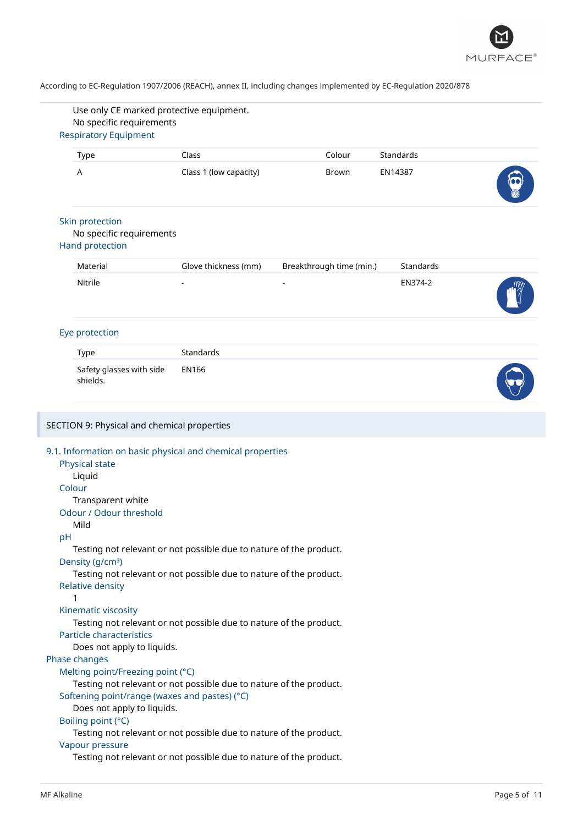

| Use only CE marked protective equipment.                                                                                                                                                                                                                             |                        |                          |           |  |
|----------------------------------------------------------------------------------------------------------------------------------------------------------------------------------------------------------------------------------------------------------------------|------------------------|--------------------------|-----------|--|
| No specific requirements                                                                                                                                                                                                                                             |                        |                          |           |  |
| <b>Respiratory Equipment</b>                                                                                                                                                                                                                                         |                        |                          |           |  |
| Type                                                                                                                                                                                                                                                                 | Class                  | Colour                   | Standards |  |
| A                                                                                                                                                                                                                                                                    | Class 1 (low capacity) | Brown                    | EN14387   |  |
| Skin protection<br>No specific requirements<br><b>Hand protection</b>                                                                                                                                                                                                |                        |                          |           |  |
|                                                                                                                                                                                                                                                                      |                        |                          |           |  |
| Material                                                                                                                                                                                                                                                             | Glove thickness (mm)   | Breakthrough time (min.) | Standards |  |
| Nitrile                                                                                                                                                                                                                                                              |                        |                          | EN374-2   |  |
| Eye protection                                                                                                                                                                                                                                                       |                        |                          |           |  |
| Type                                                                                                                                                                                                                                                                 | Standards              |                          |           |  |
| Safety glasses with side<br>shields.                                                                                                                                                                                                                                 | <b>EN166</b>           |                          |           |  |
| 9.1. Information on basic physical and chemical properties<br>Physical state<br>Liquid<br>Colour<br>Transparent white<br>Odour / Odour threshold<br>Mild<br>pH<br>Testing not relevant or not possible due to nature of the product.<br>Density (g/cm <sup>3</sup> ) |                        |                          |           |  |
| Testing not relevant or not possible due to nature of the product.<br><b>Relative density</b><br>1<br>Kinematic viscosity<br>Testing not relevant or not possible due to nature of the product.<br><b>Particle characteristics</b>                                   |                        |                          |           |  |
| Does not apply to liquids.<br>Phase changes                                                                                                                                                                                                                          |                        |                          |           |  |
| Melting point/Freezing point (°C)<br>Testing not relevant or not possible due to nature of the product.<br>Softening point/range (waxes and pastes) (°C)<br>Does not apply to liquids.<br>Boiling point (°C)                                                         |                        |                          |           |  |
| Testing not relevant or not possible due to nature of the product.<br>Vapour pressure                                                                                                                                                                                |                        |                          |           |  |
| Testing not relevant or not possible due to nature of the product.                                                                                                                                                                                                   |                        |                          |           |  |
|                                                                                                                                                                                                                                                                      |                        |                          |           |  |

I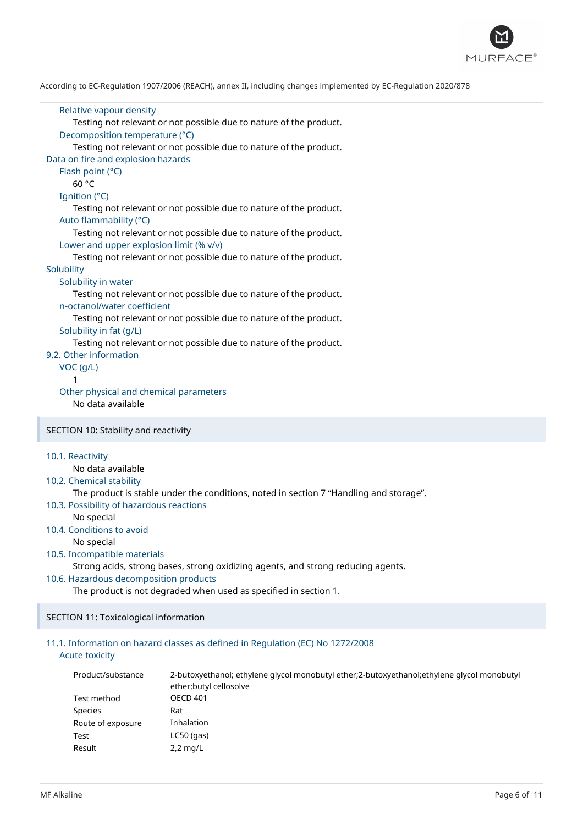

```
Relative vapour density
      Testing not relevant or not possible due to nature of the product.
   Decomposition temperature (°C)
      Testing not relevant or not possible due to nature of the product.
Data on fire and explosion hazards
   Flash point (°C)
      60 °C
  Ignition (°C)
      Testing not relevant or not possible due to nature of the product.
  Auto flammability (°C)
      Testing not relevant or not possible due to nature of the product.
   Lower and upper explosion limit (% v/v)
      Testing not relevant or not possible due to nature of the product.
Solubility
   Solubility in water
      Testing not relevant or not possible due to nature of the product.
   n-octanol/water coefficient
      Testing not relevant or not possible due to nature of the product.
   Solubility in fat (g/L)
      Testing not relevant or not possible due to nature of the product.
9.2. Other information
  VOC (g/L)
      1
   Other physical and chemical parameters
      No data available
SECTION 10: Stability and reactivity
10.1. Reactivity
      No data available
10.2. Chemical stability
      The product is stable under the conditions, noted in section 7 "Handling and storage".
10.3. Possibility of hazardous reactions
      No special
```
10.4. Conditions to avoid No special

```
10.5. Incompatible materials
```
Strong acids, strong bases, strong oxidizing agents, and strong reducing agents.

# 10.6. Hazardous decomposition products

The product is not degraded when used as specified in section 1.

SECTION 11: Toxicological information

# 11.1. Information on hazard classes as defined in Regulation (EC) No 1272/2008 Acute toxicity

| Product/substance | 2-butoxyethanol; ethylene glycol monobutyl ether; 2-butoxyethanol; ethylene glycol monobutyl<br>ether; butyl cellosolve |
|-------------------|-------------------------------------------------------------------------------------------------------------------------|
| Test method       | <b>OECD 401</b>                                                                                                         |
| Species           | Rat                                                                                                                     |
| Route of exposure | Inhalation                                                                                                              |
| Test              | $LC50$ (gas)                                                                                                            |
| Result            | $2,2$ mg/L                                                                                                              |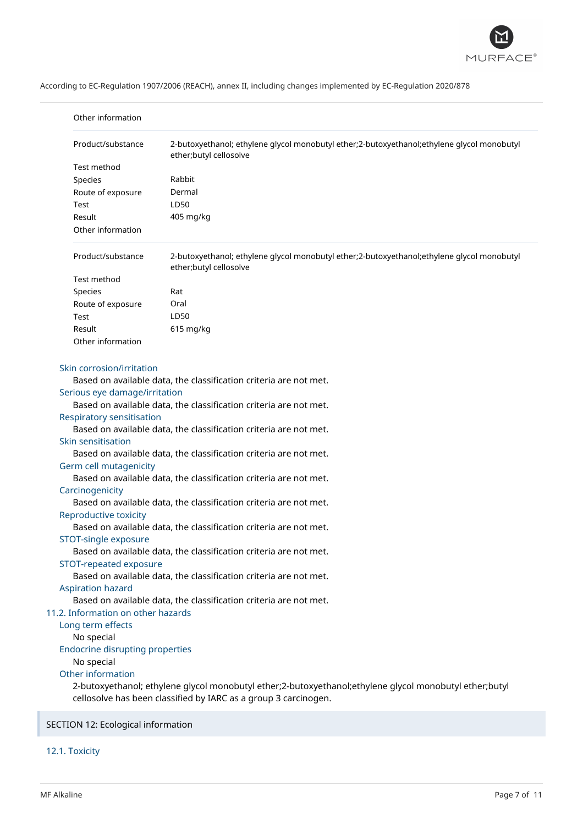

| Other information<br>Product/substance<br>2-butoxyethanol; ethylene glycol monobutyl ether;2-butoxyethanol; ethylene glycol monobutyl<br>ether;butyl cellosolve<br>Test method<br>Rabbit<br>Species<br>Dermal<br>Route of exposure<br>LD50<br>Test<br>405 mg/kg<br>Result<br>Other information<br>Product/substance<br>2-butoxyethanol; ethylene glycol monobutyl ether;2-butoxyethanol;ethylene glycol monobutyl<br>ether;butyl cellosolve<br>Test method<br>Rat<br>Species<br>Route of exposure<br>Oral<br>LD50<br>Test<br>Result<br>$615$ mg/kg<br>Other information<br>Skin corrosion/irritation                                                                                                                                                                                                                                                                                                                                                                                                                                                                                                                |  |  |
|---------------------------------------------------------------------------------------------------------------------------------------------------------------------------------------------------------------------------------------------------------------------------------------------------------------------------------------------------------------------------------------------------------------------------------------------------------------------------------------------------------------------------------------------------------------------------------------------------------------------------------------------------------------------------------------------------------------------------------------------------------------------------------------------------------------------------------------------------------------------------------------------------------------------------------------------------------------------------------------------------------------------------------------------------------------------------------------------------------------------|--|--|
|                                                                                                                                                                                                                                                                                                                                                                                                                                                                                                                                                                                                                                                                                                                                                                                                                                                                                                                                                                                                                                                                                                                     |  |  |
|                                                                                                                                                                                                                                                                                                                                                                                                                                                                                                                                                                                                                                                                                                                                                                                                                                                                                                                                                                                                                                                                                                                     |  |  |
|                                                                                                                                                                                                                                                                                                                                                                                                                                                                                                                                                                                                                                                                                                                                                                                                                                                                                                                                                                                                                                                                                                                     |  |  |
|                                                                                                                                                                                                                                                                                                                                                                                                                                                                                                                                                                                                                                                                                                                                                                                                                                                                                                                                                                                                                                                                                                                     |  |  |
|                                                                                                                                                                                                                                                                                                                                                                                                                                                                                                                                                                                                                                                                                                                                                                                                                                                                                                                                                                                                                                                                                                                     |  |  |
|                                                                                                                                                                                                                                                                                                                                                                                                                                                                                                                                                                                                                                                                                                                                                                                                                                                                                                                                                                                                                                                                                                                     |  |  |
|                                                                                                                                                                                                                                                                                                                                                                                                                                                                                                                                                                                                                                                                                                                                                                                                                                                                                                                                                                                                                                                                                                                     |  |  |
|                                                                                                                                                                                                                                                                                                                                                                                                                                                                                                                                                                                                                                                                                                                                                                                                                                                                                                                                                                                                                                                                                                                     |  |  |
|                                                                                                                                                                                                                                                                                                                                                                                                                                                                                                                                                                                                                                                                                                                                                                                                                                                                                                                                                                                                                                                                                                                     |  |  |
|                                                                                                                                                                                                                                                                                                                                                                                                                                                                                                                                                                                                                                                                                                                                                                                                                                                                                                                                                                                                                                                                                                                     |  |  |
|                                                                                                                                                                                                                                                                                                                                                                                                                                                                                                                                                                                                                                                                                                                                                                                                                                                                                                                                                                                                                                                                                                                     |  |  |
|                                                                                                                                                                                                                                                                                                                                                                                                                                                                                                                                                                                                                                                                                                                                                                                                                                                                                                                                                                                                                                                                                                                     |  |  |
|                                                                                                                                                                                                                                                                                                                                                                                                                                                                                                                                                                                                                                                                                                                                                                                                                                                                                                                                                                                                                                                                                                                     |  |  |
|                                                                                                                                                                                                                                                                                                                                                                                                                                                                                                                                                                                                                                                                                                                                                                                                                                                                                                                                                                                                                                                                                                                     |  |  |
|                                                                                                                                                                                                                                                                                                                                                                                                                                                                                                                                                                                                                                                                                                                                                                                                                                                                                                                                                                                                                                                                                                                     |  |  |
| Based on available data, the classification criteria are not met.<br>Serious eye damage/irritation<br>Based on available data, the classification criteria are not met.<br><b>Respiratory sensitisation</b><br>Based on available data, the classification criteria are not met.<br>Skin sensitisation<br>Based on available data, the classification criteria are not met.<br>Germ cell mutagenicity<br>Based on available data, the classification criteria are not met.<br>Carcinogenicity<br>Based on available data, the classification criteria are not met.<br>Reproductive toxicity<br>Based on available data, the classification criteria are not met.<br>STOT-single exposure<br>Based on available data, the classification criteria are not met.<br>STOT-repeated exposure<br>Based on available data, the classification criteria are not met.<br><b>Aspiration hazard</b><br>Based on available data, the classification criteria are not met.<br>11.2. Information on other hazards<br>Long term effects<br>No special<br><b>Endocrine disrupting properties</b><br>No special<br>Other information |  |  |
| 2-butoxyethanol; ethylene glycol monobutyl ether;2-butoxyethanol;ethylene glycol monobutyl ether;butyl<br>cellosolve has been classified by IARC as a group 3 carcinogen.                                                                                                                                                                                                                                                                                                                                                                                                                                                                                                                                                                                                                                                                                                                                                                                                                                                                                                                                           |  |  |

SECTION 12: Ecological information

12.1. Toxicity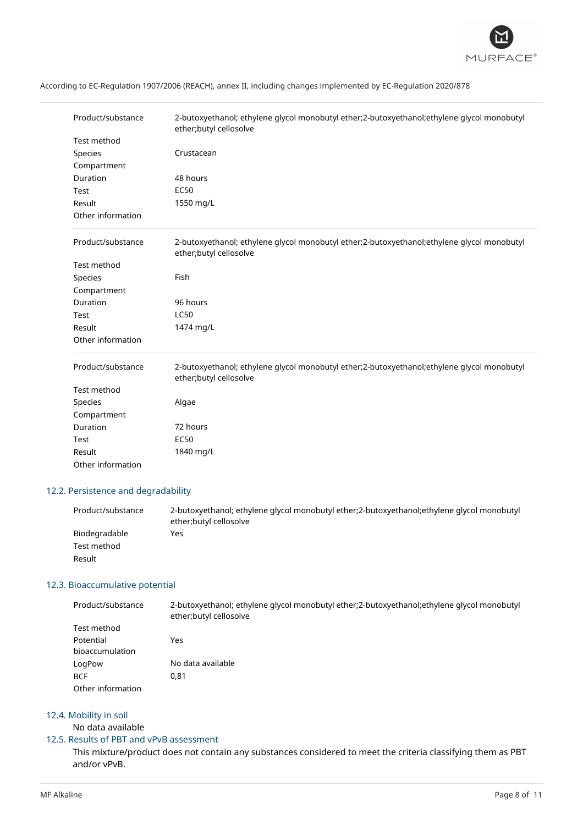

| Product/substance<br>Test method<br>Species<br>Compartment<br>Duration<br>Test<br>Result<br>Other information | 2-butoxyethanol; ethylene glycol monobutyl ether;2-butoxyethanol; ethylene glycol monobutyl<br>ether;butyl cellosolve<br>Crustacean<br>48 hours<br><b>EC50</b><br>1550 mg/L |
|---------------------------------------------------------------------------------------------------------------|-----------------------------------------------------------------------------------------------------------------------------------------------------------------------------|
| Product/substance<br>Test method<br>Species<br>Compartment<br>Duration<br>Test<br>Result<br>Other information | 2-butoxyethanol; ethylene glycol monobutyl ether;2-butoxyethanol; ethylene glycol monobutyl<br>ether;butyl cellosolve<br>Fish<br>96 hours<br><b>LC50</b><br>1474 mg/L       |
| Product/substance<br>Test method<br>Species<br>Compartment<br>Duration<br>Test<br>Result<br>Other information | 2-butoxyethanol; ethylene glycol monobutyl ether; 2-butoxyethanol; ethylene glycol monobutyl<br>ether;butyl cellosolve<br>Algae<br>72 hours<br><b>EC50</b><br>1840 mg/L     |

# 12.2. Persistence and degradability

| Product/substance | 2-butoxyethanol; ethylene glycol monobutyl ether; 2-butoxyethanol; ethylene glycol monobutyl<br>ether; butyl cellosolve |
|-------------------|-------------------------------------------------------------------------------------------------------------------------|
| Biodegradable     | Yes                                                                                                                     |
| Test method       |                                                                                                                         |
| Result            |                                                                                                                         |

# 12.3. Bioaccumulative potential

| Product/substance | 2-butoxyethanol; ethylene glycol monobutyl ether;2-butoxyethanol; ethylene glycol monobutyl |  |  |
|-------------------|---------------------------------------------------------------------------------------------|--|--|
|                   | ether;butyl cellosolve                                                                      |  |  |
| Test method       |                                                                                             |  |  |

| Potential         | Yes               |
|-------------------|-------------------|
| bioaccumulation   |                   |
| LogPow            | No data available |
| BCF               | 0.81              |
| Other information |                   |

# 12.4. Mobility in soil

No data available

# 12.5. Results of PBT and vPvB assessment

This mixture/product does not contain any substances considered to meet the criteria classifying them as PBT and/or vPvB.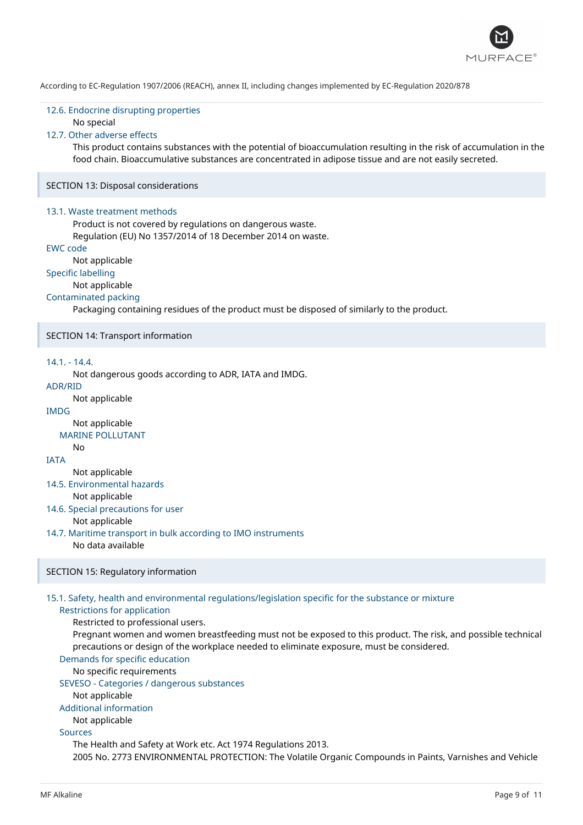

## 12.6. Endocrine disrupting properties No special

# 12.7. Other adverse effects

This product contains substances with the potential of bioaccumulation resulting in the risk of accumulation in the food chain. Bioaccumulative substances are concentrated in adipose tissue and are not easily secreted.

SECTION 13: Disposal considerations

#### 13.1. Waste treatment methods

Product is not covered by regulations on dangerous waste.

Regulation (EU) No 1357/2014 of 18 December 2014 on waste.

# EWC code

Not applicable

# Specific labelling

Not applicable

# Contaminated packing

Packaging containing residues of the product must be disposed of similarly to the product.

### SECTION 14: Transport information

# 14.1. - 14.4.

Not dangerous goods according to ADR, IATA and IMDG.

# ADR/RID

Not applicable

# IMDG

Not applicable

# MARINE POLLUTANT

**IATA** 

No

Not applicable

# 14.5. Environmental hazards

Not applicable

- 14.6. Special precautions for user Not applicable
- 14.7. Maritime transport in bulk according to IMO instruments

#### No data available

#### SECTION 15: Regulatory information

## 15.1. Safety, health and environmental regulations/legislation specific for the substance or mixture

#### Restrictions for application

Restricted to professional users.

Pregnant women and women breastfeeding must not be exposed to this product. The risk, and possible technical precautions or design of the workplace needed to eliminate exposure, must be considered.

# Demands for specific education

No specific requirements

# SEVESO - Categories / dangerous substances

Not applicable

#### Additional information

Not applicable

# Sources

The Health and Safety at Work etc. Act 1974 Regulations 2013. 2005 No. 2773 ENVIRONMENTAL PROTECTION: The Volatile Organic Compounds in Paints, Varnishes and Vehicle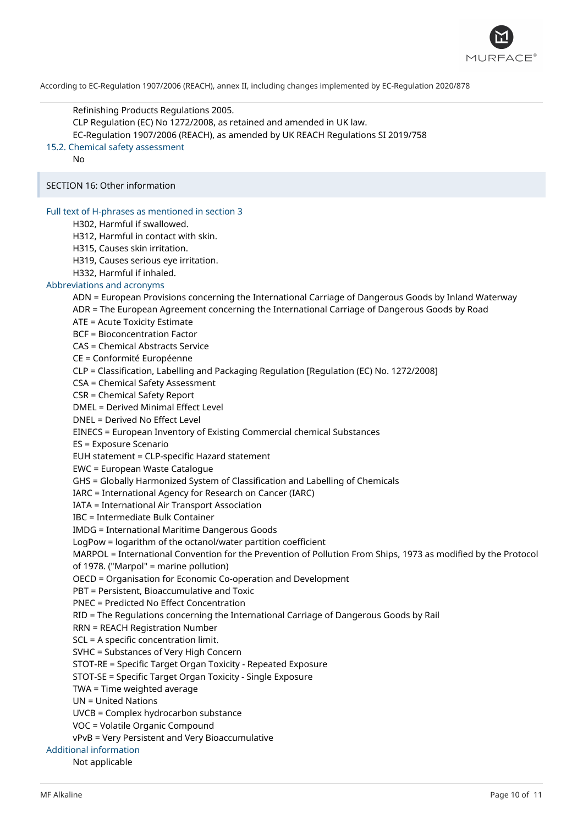

Refinishing Products Regulations 2005. CLP Regulation (EC) No 1272/2008, as retained and amended in UK law. EC-Regulation 1907/2006 (REACH), as amended by UK REACH Regulations SI 2019/758 15.2. Chemical safety assessment No SECTION 16: Other information Full text of H-phrases as mentioned in section 3 H302, Harmful if swallowed. H312, Harmful in contact with skin. H315, Causes skin irritation. H319, Causes serious eye irritation. H332, Harmful if inhaled. Abbreviations and acronyms ADN = European Provisions concerning the International Carriage of Dangerous Goods by Inland Waterway ADR = The European Agreement concerning the International Carriage of Dangerous Goods by Road ATE = Acute Toxicity Estimate BCF = Bioconcentration Factor CAS = Chemical Abstracts Service CE = Conformité Européenne CLP = Classification, Labelling and Packaging Regulation [Regulation (EC) No. 1272/2008] CSA = Chemical Safety Assessment CSR = Chemical Safety Report DMEL = Derived Minimal Effect Level DNEL = Derived No Effect Level EINECS = European Inventory of Existing Commercial chemical Substances ES = Exposure Scenario EUH statement = CLP-specific Hazard statement EWC = European Waste Catalogue GHS = Globally Harmonized System of Classification and Labelling of Chemicals IARC = International Agency for Research on Cancer (IARC) IATA = International Air Transport Association IBC = Intermediate Bulk Container IMDG = International Maritime Dangerous Goods LogPow = logarithm of the octanol/water partition coefficient MARPOL = International Convention for the Prevention of Pollution From Ships, 1973 as modified by the Protocol of 1978. ("Marpol" = marine pollution) OECD = Organisation for Economic Co-operation and Development PBT = Persistent, Bioaccumulative and Toxic PNEC = Predicted No Effect Concentration RID = The Regulations concerning the International Carriage of Dangerous Goods by Rail RRN = REACH Registration Number SCL = A specific concentration limit. SVHC = Substances of Very High Concern STOT-RE = Specific Target Organ Toxicity - Repeated Exposure STOT-SE = Specific Target Organ Toxicity - Single Exposure TWA = Time weighted average UN = United Nations UVCB = Complex hydrocarbon substance VOC = Volatile Organic Compound vPvB = Very Persistent and Very Bioaccumulative Additional information Not applicable